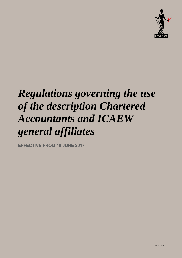

# *Regulations governing the use of the description Chartered Accountants and ICAEW general affiliates*

**EFFECTIVE FROM 19 JUNE 2017**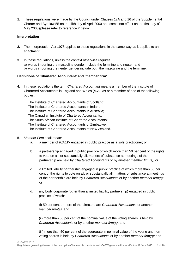**1.** These regulations were made by the Council under Clauses 12A and 16 of the Supplemental Charter and Bye-law 55 on the fifth day of April 2000 and came into effect on the first day of May 2000 (please refer to reference 2 below).

### **Interpretation**

- **2.** The Interpretation Act 1978 applies to these regulations in the same way as it applies to an enactment.
- **3.** In these regulations, unless the context otherwise requires:
	- a) words importing the masculine gender include the feminine and neuter; and
	- b) words importing the neuter gender include both the masculine and the feminine.

#### **Definitions of 'Chartered Accountant' and 'member firm'**

**4.** In these regulations the term *[Chartered Accountant](http://www.icaew.com/en/membership/regulations-standards-and-guidance/practice-management/use-of-chartered-accountant-definitions)* means a member of the Institute of Chartered Accountants in England and Wales (*ICAEW*) or a member of one of the following bodies:

The Institute of Chartered Accountants of Scotland; The Institute of Chartered Accountants in Ireland; The Institute of Chartered Accountants in Australia; The Canadian Institute of Chartered Accountants; The South African Institute of Chartered Accountants; The Institute of Chartered Accountants of Zimbabwe; The Institute of Chartered Accountants of New Zealand.

- **5**. *[Member Firm](http://www.icaew.com/en/membership/regulations-standards-and-guidance/practice-management/use-of-chartered-accountant-definitions)* shall mean:
	- a. a member of *ICAEW* engaged in public practice as a sole practitioner; or
	- b. a partnership engaged in public practice of which more than 50 per cent of the rights to vote on all, or substantially all, matters of substance at meetings of the partnership are held by *Chartered Accountants* or by another *member firm(s);* or
	- c. a limited liability partnership engaged in public practice of which more than 50 per cent of the rights to vote on all, or substantially all, matters of substance at meetings of the partnership are held by *Chartered Accountants* or by another *member firm(s)*; or
	- d. any body corporate (other than a limited liability partnership) engaged in public practice of which:

(i) 50 per cent or more of the directors are *Chartered Accountants* or another *member firm(s)*; and

(ii) more than 50 per cent of the nominal value of the voting shares is held by *Chartered Accountants* or by another *member firm(s)*; and

(iii) more than 50 per cent of the aggregate in nominal value of the voting and nonvoting shares is held by *Chartered Accountants* or by another *member firm(s);* and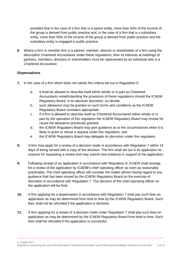provided that in the case of a firm that is a parent entity, more than 50% of the income of the group is derived from public practice and, in the case of a firm that is a subsidiary entity, more than 50% of the income of the group is derived from public practice and the subsidiary entity is engaged in public practice.

**6.** Where a firm or *[member firm](http://www.icaew.com/en/membership/regulations-standards-and-guidance/practice-management/use-of-chartered-accountant-definitions)* is a partner, member, director or shareholder of a firm using the description [Chartered Accountants](http://www.icaew.com/en/membership/regulations-standards-and-guidance/practice-management/use-of-chartered-accountant-definitions) under these regulations, then its interests at meetings of partners, members, directors or shareholders must be represented by an individual who is a *[Chartered Accountant.](http://www.icaew.com/en/membership/regulations-standards-and-guidance/practice-management/use-of-chartered-accountant-definitions)*

#### **Dispensations**

- **7.** In the case of a firm which does not satisfy the criteria set out in Regulation 5:
	- a. it shall be allowed to describe itself either wholly or in part as Chartered Accountants notwithstanding the provisions of these regulations should the ICAEW Regulatory Board, in its absolute discretion, so decide;
	- b. such allowance may be granted on such terms and conditions as the ICAEW Regulatory Board considers appropriate;
	- c. if a firm is allowed to describe itself as [Chartered Accountants](http://www.icaew.com/en/membership/regulations-standards-and-guidance/practice-management/use-of-chartered-accountant-definitions) either wholly or in part by the operation of this regulation the ICAEW Regulatory Board may revoke for cause the allowance previously granted;
	- d. the ICAEW Regulatory Board may give guidance as to the circumstances when it is likely to grant or refuse a request under this regulation; and
	- e. the ICAEW Regulatory Board may delegate its discretion under this regulation.
- **8.** A firm may apply for a review of a decision made in accordance with Regulation 7 within 14 days of being served with a copy of the decision. The firm shall set out in its application its reasons for requesting a review and may submit new evidence in support of the application.
- **9.** Following receipt of an application in accordance with Regulation 8, *ICAEW* shall arrange for a review of the application by *ICAEW's* chief operating officer as soon as reasonably practicable. The chief operating officer will consider the matter afresh having regard to any guidance that has been issued by the ICAEW Regulatory Board on the exercise of discretion in accordance with Regulation 7. The decision of the chief operating officer on the application will be final.
- **10.** A firm applying for a dispensation in accordance with Regulation 7 shall pay such fees on application as may be determined from time to time by the ICAEW Regulatory Board. Such fees shall not be refunded if the application is declined.
- **11.** A firm applying for a review of a decision made under Regulation 7 shall pay such fees on application as may be determined by the ICAEW Regulatory Board from time to time. Such fees shall be refunded if the application is successful.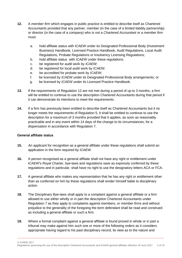- **12.** A *[member firm](http://www.icaew.com/en/membership/regulations-standards-and-guidance/practice-management/use-of-chartered-accountant-definitions)* which engages in public practice is entitled to describe itself as Chartered Accountants provided that any partner, member (in the case of a limited liability partnership) or director (in the case of a company) who is not a *[Chartered Accountant](http://www.icaew.com/en/membership/regulations-standards-and-guidance/practice-management/use-of-chartered-accountant-definitions)* or a *[member firm](http://www.icaew.com/en/membership/regulations-standards-and-guidance/practice-management/use-of-chartered-accountant-definitions)* must:
	- a. hold affiliate status with *ICAEW* under its Designated Professional Body (Investment Business) Handbook, Licensed Practice Handbook, Audit Regulations, Local Audit Regulations, Probate Regulations or Insolvency Licensing Regulations;
	- b. hold affiliate status with *ICAEW* under these regulations;
	- c. be registered for audit work by *ICAEW*;
	- d. be registered for local audit work by *ICAEW*;
	- e. be accredited for probate work by *ICAEW*;
	- f. be licensed by *ICAEW* under its Designated Professional Body arrangements; or
	- g. be licensed by *ICAEW* under its Licensed Practice Handbook.
- **13.** If the requirements of Regulation 12 are not met during a period of up to 3 months, a firm will be entitled to continue to use the description Chartered Accountants during that period if it can demonstrate its intentions to meet the requirements.
- **14.** If a firm has previously been entitled to describe itself as Chartered Accountants but it no longer meets the requirements of Regulation 5, it shall be entitled to continue to use the description for a maximum of 3 months provided that it applies, as soon as reasonably practicable and in any event within 14 days of the change to its circumstances, for a dispensation in accordance with Regulation 7.

# **General affiliate status**

- **15.** An applicant for recognition as a general affiliate under these regulations shall submit an application in the form required by *ICAEW*.
- **16.** A person recognised as a general affiliate shall not have any right or entitlement under *ICAEW*'s Royal Charter, bye-laws and regulations save as expressly conferred by these regulations and in particular, shall have no right to use the designatory letters ACA or FCA.
- **17.** A general affiliate who makes any representation that he has any right or entitlement other than as conferred on him by these regulations shall render himself liable to disciplinary action.
- **18.** The Disciplinary Bye-laws shall apply to a complaint against a general affiliate or a firm allowed to use either wholly or in part the description Chartered Accountants under Regulation 7 as they apply to complaints against members, or [member firms](http://www.icaew.com/en/membership/regulations-standards-and-guidance/practice-management/use-of-chartered-accountant-definitions) and without prejudice to the generality of the foregoing the term defendant shall be read and construed as including a general affiliate or such a firm.
- **19.** Where a formal complaint against a general affiliate is found proved in whole or in part a tribunal may make against him such one or more of the following orders as it considers appropriate having regard to his past disciplinary record, its view as to the nature and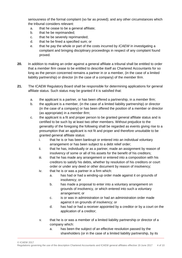seriousness of the formal complaint (so far as proved); and any other circumstances which the tribunal considers relevant:

- a. that he cease to be a general affiliate;
- b. that he be reprimanded;
- c. that he be severely reprimanded;
- d. that he be fined a specified sum; or
- e. that he pay the whole or part of the costs incurred by *ICAEW* in investigating a complaint and bringing disciplinary proceedings in respect of any complaint found proved.
- **20.** In addition to making an order against a general affiliate a tribunal shall be entitled to order that a *[member firm](http://www.icaew.com/en/membership/regulations-standards-and-guidance/practice-management/use-of-chartered-accountant-definitions)* cease to be entitled to describe itself as Chartered Accountants for so long as the person concerned remains a partner in or a member, (in the case of a limited liability partnership) or director (in the case of a company) of the *[member firm](http://www.icaew.com/en/membership/regulations-standards-and-guidance/practice-management/use-of-chartered-accountant-definitions)*.
- **21.** The ICAEW Regulatory Board shall be responsible for determining applications for general affiliate status. Such status may be granted if it is satisfied that:
	- a. the applicant is a partner, or has been offered a partnership, in a *[member firm](http://www.icaew.com/en/membership/regulations-standards-and-guidance/practice-management/use-of-chartered-accountant-definitions)*;
	- b. the applicant is a member, (in the case of a limited liability partnership) or director (in the case of a company) or has been offered the position of a member or director (as appropriate) in a *[member firm](http://www.icaew.com/en/membership/regulations-standards-and-guidance/practice-management/use-of-chartered-accountant-definitions)*;
	- c. the applicant is a fit and proper person to be granted general affiliate status and is certified to be such by at least two other members. Without prejudice to the generality of the foregoing the following shall be regarded as events giving rise to a presumption that an applicant is not fit and proper and therefore unsuitable to be granted general affiliate status:
		- i. that he is or has been bankrupt or entered into an individual voluntary arrangement or has been subject to a debt relief order;
		- ii. that he has, individually or as a partner, made an assignment by reason of insolvency of some or all of his assets for the benefit of his creditors;
		- iii. that he has made any arrangement or entered into a composition with his creditors to satisfy his debts, whether by resolution of his creditors or court order or under any deed or other document by reason of insolvency;
		- iv. that he is or was a partner in a firm which:
			- a. has had or had a winding-up order made against it on grounds of insolvency; or
			- b. has made a proposal to enter into a voluntary arrangement on grounds of insolvency, or which entered into such a voluntary arrangement; or
			- c. is or was in administration or had an administration order made against it on grounds of insolvency; or
			- d. has had or had a receiver appointed by a creditor or by a court on the application of a creditor;
		- v. that he is or was a member of a limited liability partnership or director of a company which:
			- a. has been the subject of an effective resolution passed by the shareholders (or in the case of a limited liability partnership, by its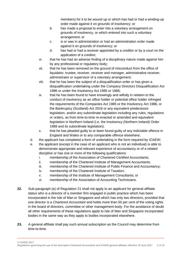members) for it to be wound up or which has had or had a winding-up order made against it on grounds of insolvency; or

- b. has made a proposal to enter into a voluntary arrangement on grounds of insolvency, or which entered into such a voluntary arrangement; or
- c. is or was in administration or had an administration order made against it on grounds of insolvency; or
- d. has had or had a receiver appointed by a creditor or by a court on the application of a creditor;
- vi. that he has had an adverse finding of a disciplinary nature made against him by any professional or regulatory body;
- vii. that he has been removed on the ground of misconduct from the office of liquidator, trustee, receiver, receiver and manager, administrative receiver, administrator or supervisor of a voluntary arrangement;
- viii. that he has been the subject of a disqualification order or has given a disqualification undertaking under the Company Directors Disqualification Act 1986 or under the Insolvency Act 1985 or 1986;
- ix. that he has been found to have knowingly and wilfully in relation to the conduct of insolvency as an office holder or potential office holder infringed the requirements of the Companies Act 1985 or the Insolvency Act 1986, or the Bankruptcy (Scotland) Act 2016 or any equivalent predecessor legislation, and/or any subordinate legislation including any rules, regulations or orders, as from time-to-time re-enacted or amended and equivalent legislation in Northern Ireland (i.e. the Insolvency (Northern Ireland) Order 1989 and its subordinate legislation);
- x. that he has pleaded guilty to or been found guilty of any indictable offence in England and Wales or to any comparable offence elsewhere;
- d. the applicant has completed a form of undertaking in the form required by *ICAEW*;
- e. the applicant (except in the case of an applicant who is not an individual) is able to demonstrate appropriate and relevant experience of accountancy or of a related discipline or has one or more of the following qualifications:
	- i. membership of the Association of Chartered Certified Accountants;
	- ii. membership of the Chartered Institute of Management Accountants;
	- iii. membership of the Chartered Institute of Public Finance and Accountancy;
	- iv. membership of the Chartered Institute of Taxation;
	- v. membership of the Institute of Management Consultants; or
	- vi. membership of the Association of Accounting Technicians.
- **22.** Sub-paragraph (e) of Regulation 21 shall not apply to an applicant for general affiliate status who is a director of a *[member firm](http://www.icaew.com/en/membership/regulations-standards-and-guidance/practice-management/use-of-chartered-accountant-definitions)* engaged in public practice which has been incorporated in the Isle of Man or Singapore and which has only two directors, provided that one director is a *[Chartered Accountant](http://www.icaew.com/en/membership/regulations-standards-and-guidance/practice-management/use-of-chartered-accountant-definitions)* and holds more than 50 per cent of the voting rights in the board of directors, committee or other management body. For the avoidance of doubt all other requirements of these regulations apply to Isle of Man and Singapore incorporated bodies in the same way as they apply to bodies incorporated elsewhere.
- **23.** A general affiliate shall pay such annual subscription as the Council may determine from time-to-time.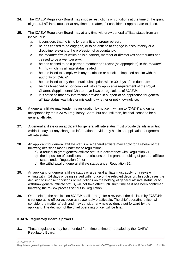- **24.** The ICAEW Regulatory Board may impose restrictions or conditions at the time of the grant of general affiliate status, or at any time thereafter, if it considers it appropriate to do so.
- **25.** The ICAEW Regulatory Board may at any time withdraw general affiliate status from an individual if:
	- a. it considers that he is no longer a fit and proper person;
	- b. he has ceased to be engaged, or to be entitled to engage in accountancy or a discipline relevant to the profession of accountancy;
	- c. the *[member firm](http://www.icaew.com/en/membership/regulations-standards-and-guidance/practice-management/use-of-chartered-accountant-definitions)* of which he is a partner, member or director (as appropriate) has ceased to be a *[member firm](http://www.icaew.com/en/membership/regulations-standards-and-guidance/practice-management/use-of-chartered-accountant-definitions)*;
	- d. he has ceased to be a partner, member or director (as appropriate) in the *[member](http://www.icaew.com/en/membership/regulations-standards-and-guidance/practice-management/use-of-chartered-accountant-definitions)  [firm](http://www.icaew.com/en/membership/regulations-standards-and-guidance/practice-management/use-of-chartered-accountant-definitions)* to which his affiliate status related;
	- e. he has failed to comply with any restriction or condition imposed on him with the authority of *ICAEW*;
	- f. he has failed to pay the annual subscription within 30 days of the due date;
	- g. he has breached or not complied with any applicable requirement of the Royal Charter, Supplemental Charter, bye-laws or regulations of *ICAEW*;
	- h. it is satisfied that any information provided in support of an application for general affiliate status was false or misleading whether or not knowingly so.
- **26.** A general affiliate may tender his resignation by notice in writing to *ICAEW* and on its acceptance by the ICAEW Regulatory Board, but not until then, he shall cease to be a general affiliate.
- **27.** A general affiliate or an applicant for general affiliate status must provide details in writing within 14 days of any change to information provided by him in an application for general affiliate status.
- **28.** An applicant for general affiliate status or a general affiliate may apply for a review of the following decisions made under these regulations:
	- a) a refusal to grant general affiliate status in accordance with Regulation 21;
	- b) the imposition of conditions or restrictions on the grant or holding of general affiliate status under Regulation 24; or
	- c) the withdrawal of general affiliate status under Regulation 25.
- **29.** An applicant for general affiliate status or a general affiliate must apply for a review in writing within 14 days of being served with notice of the relevant decision. In such cases the decision to impose conditions or restrictions on the holding of general affiliate status, or to withdraw general affiliate status, will not take effect until such time as it has been confirmed following the review process set out in Regulation 30.
- **30.** On receipt of the application *ICAEW* shall arrange for a review of the decision by *ICAEW'*s chief operating officer as soon as reasonably practicable. The chief operating officer will consider the matter afresh and may consider any new evidence put forward by the applicant. The decision of the chief operating officer will be final.

# **ICAEW Regulatory Board's powers**

**31.** These regulations may be amended from time to time or repealed by the ICAEW Regulatory Board.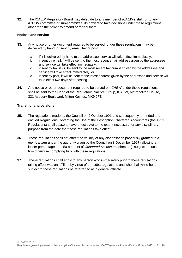**32.** The ICAEW Regulatory Board may delegate to any member of *ICAEW'*s staff, or to any *ICAEW* committee or sub-committee, its powers to take decisions under these regulations other than the power to amend or repeal them.

#### **Notices and service**

- **33.** Any notice or other document required to be served under these regulations may be delivered by hand, or sent by email, fax or post:
	- a if it is delivered by hand to the addressee, service will take effect immediately;
	- b if sent by email, it will be sent to the most recent email address given by the addressee and service will take effect immediately;
	- c if sent by fax, it will be sent to the most recent fax number given by the addressee and service will take effect immediately; or
	- d if sent by post, it will be sent to the latest address given by the addressee and service will take effect two days after posting.
- **34.** Any notice or other document required to be served on *ICAEW* under these regulations shall be sent to the Head of the Regulatory Practice Group, ICAEW, Metropolitan House, 321 Avebury Boulevard, Milton Keynes, MK9 2FZ.

#### **Transitional provisions**

- **35.** The regulations made by the Council on 2 October 1991 and subsequently amended and entitled Regulations Governing the Use of the Description Chartered Accountants (the 1991 Regulations) shall cease to have effect save to the extent necessary for any disciplinary purpose from the date that these regulations take effect.
- **36.** These regulations shall not affect the validity of any dispensation previously granted to a *[member firm](http://www.icaew.com/en/membership/regulations-standards-and-guidance/practice-management/use-of-chartered-accountant-definitions)* under the authority given by the Council on 3 December 1997 (allowing a lesser percentage than 50 per cent of *[Chartered Accountant](http://www.icaew.com/en/membership/regulations-standards-and-guidance/practice-management/use-of-chartered-accountant-definitions)* directors), subject to such a firm otherwise complying fully with these regulations.
- **37.** These regulations shall apply to any person who immediately prior to these regulations taking effect was an affiliate by virtue of the 1991 regulations and who shall while he is subject to these regulations be referred to as a general affiliate.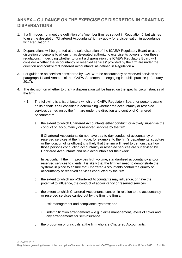# **ANNEX – GUIDANCE ON THE EXERCISE OF DISCRETION IN GRANTING DISPENSATIONS**

- 1. If a firm does not meet the definition of a 'member firm' as set out in Regulation 5, but wishes to use the description 'Chartered Accountants' it may apply for a dispensation in accordance with Regulation 7.
- 2. Dispensations will be granted at the sole discretion of the ICAEW Regulatory Board or at the discretion of persons to whom it has delegated authority to exercise its powers under these regulations. In deciding whether to grant a dispensation the ICAEW Regulatory Board will consider whether the 'accountancy or reserved services' provided by the firm are under the direction and control of 'Chartered Accountants' as defined in Regulation 4.
- 3. For guidance on services considered by ICAEW to be accountancy or reserved services see paragraph 14 and Annex 1 of the ICAEW Statement on engaging in public practice (1 January 2017).
- 4. The decision on whether to grant a dispensation will be based on the specific circumstances of the firm.
	- 4.1 The following is a list of factors which the ICAEW Regulatory Board, or persons acting on its behalf, **shall** consider in determining whether the accountancy or reserved services carried on by the firm are under the direction and control of Chartered Accountants:
		- a. the extent to which Chartered Accountants either conduct, or actively supervise the conduct of, accountancy or reserved services by the firm.

If Chartered Accountants do not have day-to-day conduct of accountancy or reserved services at the firm (due, for example, to the firm's departmental structure or the location of its offices) it is likely that the firm will need to demonstrate how those persons conducting accountancy or reserved services are supervised by Chartered Accountants and held accountable for their work.

In particular, if the firm provides high volume, standardised accountancy and/or reserved services to clients, it is likely that the firm will need to demonstrate the systems in place to ensure that Chartered Accountants control the quality of accountancy or reserved services conducted by the firm.

- b. the extent to which non-Chartered Accountants may influence, or have the potential to influence, the conduct of accountancy or reserved services.
- c. the extent to which Chartered Accountants control, in relation to the accountancy or reserved services carried out by the firm, the firm's:
	- i. risk management and compliance systems; and
	- ii. indemnification arrangements e.g. claims management, levels of cover and any arrangements for self-insurance.
- d. the proportion of principals at the firm who are Chartered Accountants.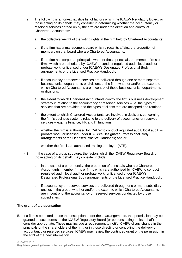- 4.2 The following is a non-exhaustive list of factors which the ICAEW Regulatory Board, or those acting on its behalf, **may** consider in determining whether the accountancy or reserved services carried on by the firm are under the direction and control of Chartered Accountants:
	- a. the collective weight of the voting rights in the firm held by Chartered Accountants;
	- b. if the firm has a management board which directs its affairs, the proportion of members on that board who are Chartered Accountants;
	- c. if the firm has corporate principals, whether those principals are member firms or firms which are authorised by ICAEW to conduct regulated audit, local audit or probate work, or licensed under ICAEW's Designated Professional Body arrangements or the Licensed Practice Handbook;
	- d. if accountancy or reserved services are delivered through one or more separate business units, departments or divisions at the firm, whether and/or the extent to which Chartered Accountants are in control of those business units, departments or divisions;
	- e. the extent to which Chartered Accountants control the firm's business development strategy in relation to the accountancy or reserved services – i.e. the types of services that are provided and the types of clients that are accepted and retained;
	- f. the extent to which Chartered Accountants are involved in decisions concerning the firm's business systems relating to the delivery of accountancy or reserved services – e.g. its Finance, HR and IT functions;
	- g. whether the firm is authorised by ICAEW to conduct regulated audit, local audit or probate work, or licensed under ICAEW's Designated Professional Body arrangements or the Licensed Practice Handbook; and/or
	- h. whether the firm is an authorised training employer (ATE).
- 4.3 In the case of a group structure, the factors which the ICAEW Regulatory Board, or those acting on its behalf, **may** consider include:
	- a. in the case of a parent entity, the proportion of principals who are Chartered Accountants, member firms or firms which are authorised by ICAEW to conduct regulated audit, local audit or probate work, or licensed under ICAEW's Designated Professional Body arrangements or the Licensed Practice Handbook.
	- b. if accountancy or reserved services are delivered through one or more subsidiary entities in the group, whether and/or the extent to which Chartered Accountants are in control of the accountancy or reserved services conducted by those subsidiaries.

# **The grant of a dispensation**

5. If a firm is permitted to use the description under these arrangements, that permission may be granted on such terms as the ICAEW Regulatory Board (or persons acting on its behalf) consider appropriate. These may include a requirement to notify ICAEW of any change in the principals or the shareholders of the firm, or in those directing or controlling the delivery of accountancy or reserved services. ICAEW may review the continued grant of the permission in the light of the new information.